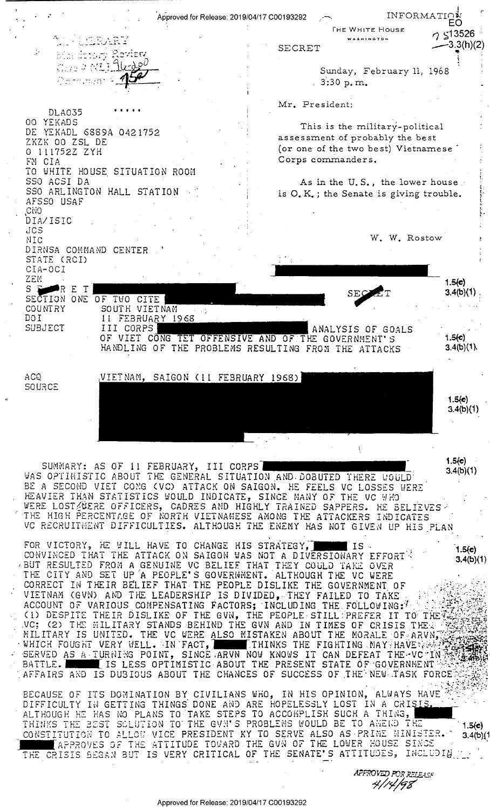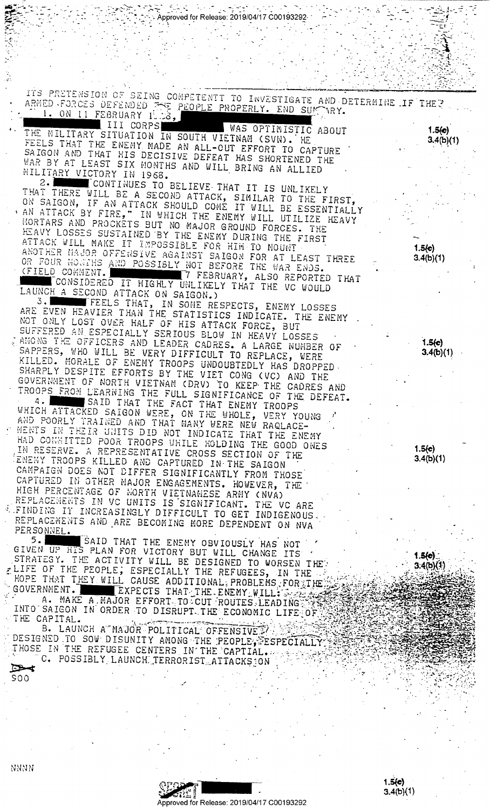| Approved for Release: 2019/04/17 C00193292-                                                                                                                                                                                                                                                                                                                                                                                                                                                                                                                                                                                                                                                                                     |                     |
|---------------------------------------------------------------------------------------------------------------------------------------------------------------------------------------------------------------------------------------------------------------------------------------------------------------------------------------------------------------------------------------------------------------------------------------------------------------------------------------------------------------------------------------------------------------------------------------------------------------------------------------------------------------------------------------------------------------------------------|---------------------|
|                                                                                                                                                                                                                                                                                                                                                                                                                                                                                                                                                                                                                                                                                                                                 |                     |
|                                                                                                                                                                                                                                                                                                                                                                                                                                                                                                                                                                                                                                                                                                                                 |                     |
|                                                                                                                                                                                                                                                                                                                                                                                                                                                                                                                                                                                                                                                                                                                                 |                     |
| ITS PRETENSION OF BEING CONPETENTT TO INVESTIGATE AND DETERMINE IF THEY<br>ARMED FORCES DEFENDED FOR PEOPLE PROPERLY. END SUFFORY.<br>I. ON II FEBRUARY INS,                                                                                                                                                                                                                                                                                                                                                                                                                                                                                                                                                                    |                     |
| III CORPS WAS OPTIMISTIC ABOUT<br>THE MILITARY SITUATION IN SOUTH VIETNAM (SVN). HE<br>FEELS THAT THE ENEMY MADE AN ALL-OUT EFFORT TO CAPTURE<br>SAIGON AND THAT HIS DECISIVE DEFEAT HAS SHORTENED THE<br>WAR BY AT LEAST SIX MONTHS AND WILL BRING AN ALLIED<br>MILITARY VICTORY IN 1968.                                                                                                                                                                                                                                                                                                                                                                                                                                      | 1.5(c)<br>3.4(b)(1) |
| 2. WE CONTINUES TO BELIEVE THAT IT IS UNLIKELY<br>THAT THERE WILL BE A SECOND ATTACK, SIMILAR TO THE FIRST,<br>ON SAIGON, IF AN ATTACK SHOULD COME IT WILL BE ESSENTIALLY<br>. AN ATTACK BY FIRE," IN WHICH THE ENEMY WILL UTILIZE HEAVY<br>MORTARS AND PROCKETS BUT NO MAJOR GROUND FORCES. THE<br>HEAVY LOSSES SUSTAINED BY THE ENEMY DURING THE FIRST<br>ATTACK WILL MAKE IT IMPOSSIBLE FOR HIM TO MOUNT<br>ANOTHER MAJOR OFFENSIVE AGAINST SAIGON FOR AT LEAST THREE<br>OR FOUR MONTHS AND POSSIBLY NOT BEFORE THE WAR ENDS.<br>(FIELD COMMENT. WELL THE 7 FEBRUARY, ALSO REPORTED THAT<br>CONSIDERED IT HIGHLY UNLIKELY THAT THE VC WOULD                                                                                  | 1.5(e)<br>3.4(b)(1) |
| LAUNCH A SECOND ATTACK ON SAIGON.)<br>3. FEELS THAT, IN SOME RESPECTS, ENEMY LOSSES<br>ARE EVEN HEAVIER THAN THE STATISTICS INDICATE. THE ENEMY<br>NOT ONLY LOST OVER HALF OF HIS ATTACK FORCE, BUT<br>SUFFERED AN ESPECIALLY SERIOUS BLOW IN HEAVY LOSSES<br>CAMONG THE OFFICERS AND LEADER CADRES. A LARGE NUMBER OF<br>SAPPERS, WHO WILL BE VERY DIFFICULT TO REPLACE, WERE<br>KILLED. MORALE OF ENEMY TROOPS UNDOUBTEDLY HAS DROPPED.<br>SHARPLY DESPITE EFFORTS BY THE VIET CONG (VC) AND THE<br>GOVERNMENT OF NORTH VIETNAM (DRV) TO KEEP THE CADRES AND<br>TROOPS FROM LEARNING THE FULL SIGNIFICANCE OF THE DEFEAT.                                                                                                     | 1.5(c)<br>3.4(b)(1) |
| 4. SAID THAT THE FACT THAT ENEMY TROOPS<br>WHICH ATTACKED SAIGON WERE, ON THE WHOLE, VERY YOUNG<br>AND POORLY TRAINED AND THAT MANY WERE NEW RAQLACE-<br>WENTS IN THEIR UNITS DID NOT INDICATE THAT THE ENEMY<br>HAD CONNITTED POOR TROOPS WHILE HOLDING THE GOOD ONES<br>IN RESERVE. A REPRESENTATIVE CROSS SECTION OF THE<br>ENEMY TROOPS KILLED AND CAPTURED IN THE SAIGON<br>CAMPAIGN DOES NOT DIFFER SIGNIFICANTLY FROM THOSE<br>CAPTURED IN OTHER MAJOR ENGAGEMENTS. HOWEVER, THE<br>HIGH PERCENTAGE OF NORTH VIETNAMESE ARMY (NVA)<br>REPLACEMENTS IN VC UNITS IS SIGNIFICANT. THE VC ARE<br>E FINDING IT INCREASINGLY DIFFICULT TO GET INDIGENOUS.<br>REPLACEMENTS AND ARE BECOMING MORE DEPENDENT ON NVA<br>PERSONNEL. | 1.5(c)<br>3.4(b)(1) |
| 5. SAID THAT THE ENEMY OBVIOUSLY HAS NOT<br>GIVEN UP HIS PLAN FOR VICTORY BUT WILL CHANGE ITS /<br>STRATEGY. THE ACTIVITY WILL BE DESIGNED TO WORSEN THET<br>ELIFE OF THE PEOPLE, ESPECIALLY THE REFUGEES, IN THE $\mathcal{L}_{\mathcal{L}_{\mathcal{L}}}$<br>HOPE THAT THEY WILL CAUSE ADDITIONAL PROBLEMS FOR THE<br>GOVERNMENT. EXPECTS THAT THE ENEMY WILL: Search<br>A. MAKE A MAJOR EFFORT TO CUI ROUTES LEADING<br>INTO SAIGON IN ORDER TO DISRUPT THE ECONOMIC LIFE OF<br>THE CAPITAL.<br>B. LAUNCH A MAJOR POLITICAL OFFENSIVE                                                                                                                                                                                        | 1.5(0)<br>3.4(b)(1) |
| DESIGNED TO SOW DISUNITY AMONG THE PEOPLE, FESPECIALLY<br>THOSE IN THE REFUGEE CENTERS IN THE CAPTIAL.<br>C. POSSIBLY LAUNCH TERRORIST ATTACKS ON<br>$\Rightarrow$<br>900                                                                                                                                                                                                                                                                                                                                                                                                                                                                                                                                                       |                     |

 $\frac{1}{2}$ 

 $\cdot$ Approved for Release: 2019/04/17 C00193292  $1.5(e)$ <br> $3.4(b)(1)$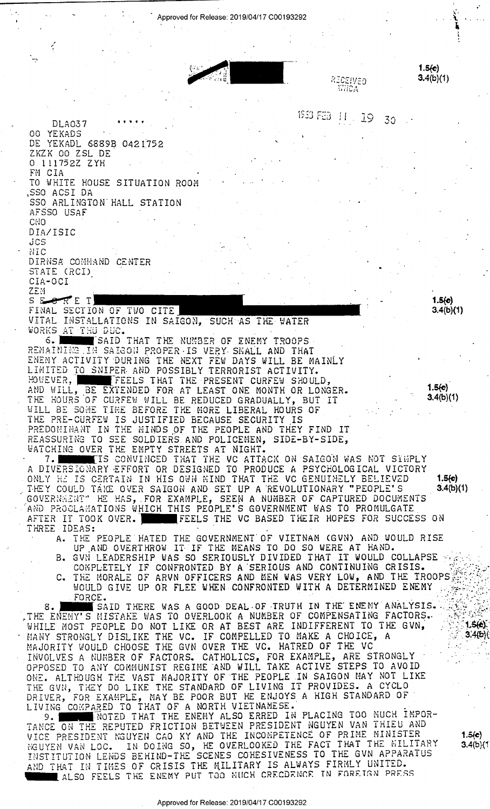Approved for Release: 2019/04/17 C00193292

 $1.5(e)$  $3.4(b)(1)$ 

1933 FEB 11 19 30

RECEIVED

WHOA

**DLA037** 00 YEKADS DE YEKADL 6889B 0421752 ZKZK OO ZSL DE 0 111752Z ZYH FM CIA TO WHITE HOUSE SITUATION ROOM ,SSO ACSI DA SSO ARLINGTON HALL STATION AFSSO USAF CNO DIA/ISIC JCS NIC DIRNSA COMMAND CENTER STATE (RCI) CIA-OCI **ZEM** SECRET

 $1.5(c)$  $3.4(b)(1)$ 

 $1.5(c)$  $3.4(b)(1)$ 

FINAL SECTION OF TWO CITE VITAL INSTALLATIONS IN SAIGON, SUCH AS THE WATER WORKS AT THU DUC.

SAID THAT THE NUMBER OF ENEMY TROOPS რ. I RENAINING IN SAIGON PROPER IS VERY SMALL AND THAT ENENY ACTIVITY DURING THE NEXT FEW DAYS WILL BE MAINLY LIMITED TO SNIPER AND POSSIBLY TERRORIST ACTIVITY. HOWEVER, FEELS THAT THE PRESENT CURFEW SHOULD, AND WILL, BE EXTENDED FOR AT LEAST ONE MONTH OR LONGER.<br>THE HOURS OF CURFEW WILL BE REDUCED GRADUALLY, BUT IT<br>WILL BE SOME TIME BEFORE THE MORE LIBERAL HOURS OF<br>THE PRE-CURFEW IS JUSTIFIED BECAUSE SECURITY IS PREDOMINANT IN THE MINDS OF THE PEOPLE AND THEY FIND IT REASSURING TO SEE SOLDIERS AND POLICEMEN, SIDE-BY-SIDE, WATCHING OVER THE EMPTY STREETS AT NIGHT.

7. THE IS CONVINCED THAT THE VC ATTACK ON SAIGON WAS NOT SIMPLY<br>A DIVERSIONARY EFFORT OR DESIGNED TO PRODUCE A PSYCHOLOGICAL VICTORY<br>ONLY HE IS CERTAIN IN HIS OWN MIND THAT THE VC GENUINELY BELIEVED  $1.5(e)$ THEY COULD TAKE OVER SAIGON AND SET UP A REVOLUTIONARY "PEOPLE'S  $3.4(b)(1)$ GOVERNMENT" HE HAS, FOR EXAMPLE, SEEN A NUMBER OF CAPTURED DOCUMENTS AND PROCLAMATIONS WHICH THIS PEOPLE'S GOVERNMENT WAS TO PROMULGATE AFTER IT TOOK OVER. AFTER IT TOOK OVER.

- THE PEOPLE HATED THE GOVERNMENT OF VIETNAM (GVN) AND WOULD RISE A. UP AND OVERTHROW IT IF THE MEANS TO DO SO WERE AT HAND.
- GVN LEADERSHIP WAS SO SERIQUSLY DIVIDED THAT IT WOULD COLLAPSE  $B_{\bullet}$
- COMPLETELY IF CONFRONTED BY A SERIOUS AND CONTINUING CRISIS.<br>THE MORALE OF ARVN OFFICERS AND MEN WAS VERY LOW, AND THE TROOPS c. FORCE.

8. SAID THERE WAS A GOOD DEAL OF TRUTH IN THE ENEMY ANALYSIS.<br>THE ENEMY'S MISTAKE WAS TO OVERLOOK A NUMBER OF COMPENSATING FACTORS.<br>WHILE MOST PEOPLE DO NOT LIKE OR AT BEST ARE INDIFFERENT TO THE GVN, MANY STRONGLY DISLIKE THE VC. IF COMPELLED TO MAKE A CHOICE MAJORITY WOULD CHOOSE THE GVN OVER THE VC. HATRED OF THE VC IF COMPELLED TO MAKE A CHOICE, A INVOLVES A NUMBER OF FACTORS. CATHOLICS, FOR EXAMPLE, ARE STRONGLY<br>OPPOSED TO ANY COMMUNIST REGIME AND WILL TAKE ACTIVE STEPS TO AVOID<br>ONE. ALTHOUGH THE VAST MAJORITY OF THE PEOPLE IN SAIGON MAY NOT LIKE THE GVN, THEY DO LIKE THE STANDARD OF LIVING IT PROVIDES. A CYCLO DRIVER, FOR EXAMPLE, MAY BE POOR BUT HE ENJOYS A HIGH STANDARD OF<br>LIVING COMPARED TO THAT OF A NORTH VIETNAMESE.<br>9. THE NOTED THAT THE ENEMY ALSO ERRED IN PLACING TOO MUCH IMPOR-

TANCE ON THE REPUTED FRICTION BETWEEN PRESIDENT NGUYEN VAN THIEU AND VICE PRESIDENT NGUYEN CAO KY AND THE INCOMPETENCE OF PRIME MINISTER<br>NGUYEN VAN LOC. IN DOING SO, HE OVERLOOKED THE FACT THAT THE MILITARY<br>INSTITUTION LENDS BEHIND-THE SCENES COHESIVENESS TO THE GVN APPARATUS AND THAT IN TIMES OF CRISIS THE MILITARY IS ALWAYS FIRMLY UNITED.

Approved for Release: 2019/04/17 C00193292

 $1.5(e)$  $3.4(b)(1)$ 

 $1.5(e)$ 

 $3.4(b)$